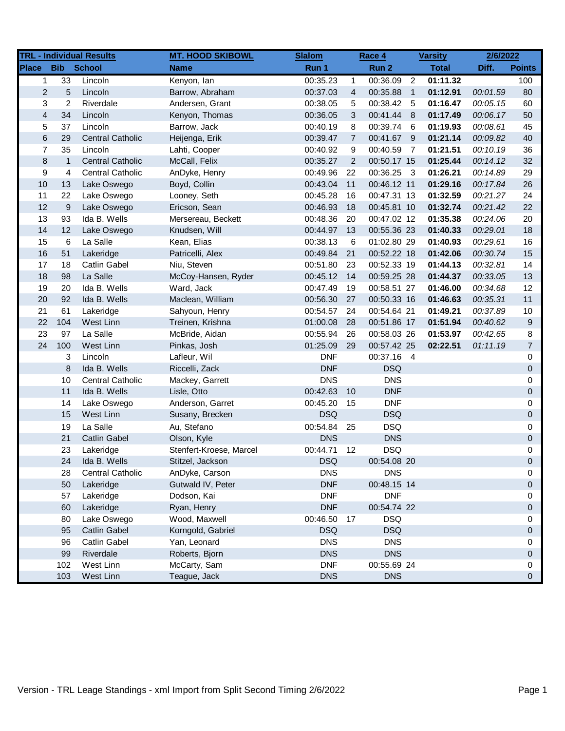|                         |                | <b>TRL - Individual Results</b> | <b>MT. HOOD SKIBOWL</b> | <b>Slalom</b> |                | Race 4      |                | <b>Varsity</b> | 2/6/2022 |                |
|-------------------------|----------------|---------------------------------|-------------------------|---------------|----------------|-------------|----------------|----------------|----------|----------------|
| <b>Place</b>            | <b>Bib</b>     | <b>School</b>                   | <b>Name</b>             | Run 1         |                | Run 2       |                | <b>Total</b>   | Diff.    | <b>Points</b>  |
| 1                       | 33             | Lincoln                         | Kenyon, lan             | 00:35.23      | 1              | 00:36.09    | 2              | 01:11.32       |          | 100            |
| $\overline{2}$          | 5              | Lincoln                         | Barrow, Abraham         | 00:37.03      | $\overline{4}$ | 00:35.88    | $\overline{1}$ | 01:12.91       | 00:01.59 | 80             |
| 3                       | $\overline{c}$ | Riverdale                       | Andersen, Grant         | 00:38.05      | 5              | 00:38.42    | - 5            | 01:16.47       | 00:05.15 | 60             |
| $\overline{\mathbf{4}}$ | 34             | Lincoln                         | Kenyon, Thomas          | 00:36.05      | 3              | 00:41.44    | 8 <sup>8</sup> | 01:17.49       | 00:06.17 | 50             |
| 5                       | 37             | Lincoln                         | Barrow, Jack            | 00:40.19      | 8              | 00:39.74    | - 6            | 01:19.93       | 00:08.61 | 45             |
| 6                       | 29             | <b>Central Catholic</b>         | Heijenga, Erik          | 00:39.47      | $\overline{7}$ | 00:41.67 9  |                | 01:21.14       | 00:09.82 | 40             |
| $\overline{7}$          | 35             | Lincoln                         | Lahti, Cooper           | 00:40.92      | 9              | 00:40.59    | $\overline{7}$ | 01:21.51       | 00:10.19 | 36             |
| 8                       | $\mathbf{1}$   | <b>Central Catholic</b>         | McCall, Felix           | 00:35.27      | 2              | 00:50.17 15 |                | 01:25.44       | 00:14.12 | 32             |
| 9                       | 4              | <b>Central Catholic</b>         | AnDyke, Henry           | 00:49.96      | 22             | 00:36.25 3  |                | 01:26.21       | 00:14.89 | 29             |
| 10                      | 13             | Lake Oswego                     | Boyd, Collin            | 00:43.04      | 11             | 00:46.12 11 |                | 01:29.16       | 00:17.84 | 26             |
| 11                      | 22             | Lake Oswego                     | Looney, Seth            | 00:45.28      | 16             | 00:47.31 13 |                | 01:32.59       | 00:21.27 | 24             |
| 12                      | 9              | Lake Oswego                     | Ericson, Sean           | 00:46.93      | 18             | 00:45.81 10 |                | 01:32.74       | 00:21.42 | 22             |
| 13                      | 93             | Ida B. Wells                    | Mersereau, Beckett      | 00:48.36      | 20             | 00:47.02 12 |                | 01:35.38       | 00:24.06 | 20             |
| 14                      | 12             | Lake Oswego                     | Knudsen, Will           | 00:44.97      | 13             | 00:55.36 23 |                | 01:40.33       | 00:29.01 | 18             |
| 15                      | 6              | La Salle                        | Kean, Elias             | 00:38.13      | 6              | 01:02.80 29 |                | 01:40.93       | 00:29.61 | 16             |
| 16                      | 51             | Lakeridge                       | Patricelli, Alex        | 00:49.84      | 21             | 00:52.22 18 |                | 01:42.06       | 00:30.74 | 15             |
| 17                      | 18             | <b>Catlin Gabel</b>             | Niu, Steven             | 00:51.80      | 23             | 00:52.33 19 |                | 01:44.13       | 00:32.81 | 14             |
| 18                      | 98             | La Salle                        | McCoy-Hansen, Ryder     | 00:45.12      | 14             | 00:59.25 28 |                | 01:44.37       | 00:33.05 | 13             |
| 19                      | 20             | Ida B. Wells                    | Ward, Jack              | 00:47.49      | 19             | 00:58.51 27 |                | 01:46.00       | 00:34.68 | 12             |
| 20                      | 92             | Ida B. Wells                    | Maclean, William        | 00:56.30      | 27             | 00:50.33 16 |                | 01:46.63       | 00:35.31 | 11             |
| 21                      | 61             | Lakeridge                       | Sahyoun, Henry          | 00:54.57      | 24             | 00:54.64 21 |                | 01:49.21       | 00:37.89 | 10             |
| 22                      | 104            | West Linn                       | Treinen, Krishna        | 01:00.08      | 28             | 00:51.86 17 |                | 01:51.94       | 00:40.62 | 9              |
| 23                      | 97             | La Salle                        | McBride, Aidan          | 00:55.94      | 26             | 00:58.03 26 |                | 01:53.97       | 00:42.65 | 8              |
| 24                      | 100            | West Linn                       | Pinkas, Josh            | 01:25.09      | 29             | 00:57.42 25 |                | 02:22.51       | 01:11.19 | $\overline{7}$ |
|                         | 3              | Lincoln                         | Lafleur, Wil            | <b>DNF</b>    |                | 00:37.16 4  |                |                |          | 0              |
|                         | 8              | Ida B. Wells                    | Riccelli, Zack          | <b>DNF</b>    |                | <b>DSQ</b>  |                |                |          | 0              |
|                         | 10             | <b>Central Catholic</b>         | Mackey, Garrett         | <b>DNS</b>    |                | <b>DNS</b>  |                |                |          | 0              |
|                         | 11             | Ida B. Wells                    | Lisle, Otto             | 00:42.63      | 10             | <b>DNF</b>  |                |                |          | 0              |
|                         | 14             | Lake Oswego                     | Anderson, Garret        | 00:45.20      | 15             | <b>DNF</b>  |                |                |          | 0              |
|                         | 15             | West Linn                       | Susany, Brecken         | <b>DSQ</b>    |                | <b>DSQ</b>  |                |                |          | 0              |
|                         | 19             | La Salle                        | Au, Stefano             | 00:54.84      | 25             | <b>DSQ</b>  |                |                |          | 0              |
|                         | 21             | <b>Catlin Gabel</b>             | Olson, Kyle             | <b>DNS</b>    |                | <b>DNS</b>  |                |                |          | 0              |
|                         | 23             | Lakeridge                       | Stenfert-Kroese, Marcel | 00:44.71      | 12             | <b>DSQ</b>  |                |                |          | 0              |
|                         | 24             | Ida B. Wells                    | Stitzel, Jackson        | <b>DSQ</b>    |                | 00:54.08 20 |                |                |          | $\Omega$       |
|                         | 28             | Central Catholic                | AnDyke, Carson          | <b>DNS</b>    |                | <b>DNS</b>  |                |                |          | 0              |
|                         | 50             | Lakeridge                       | Gutwald IV, Peter       | <b>DNF</b>    |                | 00:48.15 14 |                |                |          | 0              |
|                         | 57             | Lakeridge                       | Dodson, Kai             | <b>DNF</b>    |                | <b>DNF</b>  |                |                |          | 0              |
|                         | 60             | Lakeridge                       | Ryan, Henry             | <b>DNF</b>    |                | 00:54.74 22 |                |                |          | 0              |
|                         | 80             | Lake Oswego                     | Wood, Maxwell           | 00:46.50      | 17             | <b>DSQ</b>  |                |                |          | 0              |
|                         | 95             | <b>Catlin Gabel</b>             | Korngold, Gabriel       | <b>DSQ</b>    |                | <b>DSQ</b>  |                |                |          | 0              |
|                         | 96             | <b>Catlin Gabel</b>             | Yan, Leonard            | <b>DNS</b>    |                | <b>DNS</b>  |                |                |          | 0              |
|                         | 99             | Riverdale                       | Roberts, Bjorn          | <b>DNS</b>    |                | <b>DNS</b>  |                |                |          | 0              |
|                         | 102            | West Linn                       | McCarty, Sam            | <b>DNF</b>    |                | 00:55.69 24 |                |                |          | 0              |
|                         | 103            | West Linn                       | Teague, Jack            | <b>DNS</b>    |                | <b>DNS</b>  |                |                |          | 0              |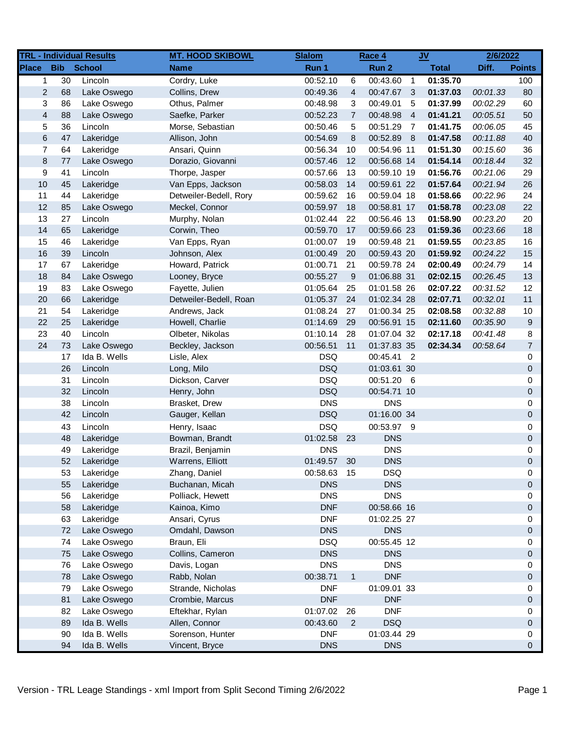|                         |            | <b>TRL - Individual Results</b> | <b>MT. HOOD SKIBOWL</b> | <b>Slalom</b> |                | Race 4      |                | $JV$         | 2/6/2022 |                     |
|-------------------------|------------|---------------------------------|-------------------------|---------------|----------------|-------------|----------------|--------------|----------|---------------------|
| <b>Place</b>            | <b>Bib</b> | <b>School</b>                   | <b>Name</b>             | Run 1         |                | Run 2       |                | <b>Total</b> | Diff.    | <b>Points</b>       |
| 1                       | 30         | Lincoln                         | Cordry, Luke            | 00:52.10      | 6              | 00:43.60    | $\overline{1}$ | 01:35.70     |          | 100                 |
| 2                       | 68         | Lake Oswego                     | Collins, Drew           | 00:49.36      | $\overline{4}$ | 00:47.67    | - 3            | 01:37.03     | 00:01.33 | 80                  |
| 3                       | 86         | Lake Oswego                     | Othus, Palmer           | 00:48.98      | 3              | 00:49.01    | 5              | 01:37.99     | 00:02.29 | 60                  |
| $\overline{\mathbf{4}}$ | 88         | Lake Oswego                     | Saefke, Parker          | 00:52.23      | $\overline{7}$ | 00:48.98    | $\overline{4}$ | 01:41.21     | 00:05.51 | 50                  |
| 5                       | 36         | Lincoln                         | Morse, Sebastian        | 00:50.46      | 5              | 00:51.29    | $\overline{7}$ | 01:41.75     | 00:06.05 | 45                  |
| 6                       | 47         | Lakeridge                       | Allison, John           | 00:54.69      | 8              | 00:52.89    | - 8            | 01:47.58     | 00:11.88 | 40                  |
| $\overline{7}$          | 64         | Lakeridge                       | Ansari, Quinn           | 00:56.34      | 10             | 00:54.96 11 |                | 01:51.30     | 00:15.60 | 36                  |
| 8                       | 77         | Lake Oswego                     | Dorazio, Giovanni       | 00:57.46      | 12             | 00:56.68 14 |                | 01:54.14     | 00:18.44 | 32                  |
| 9                       | 41         | Lincoln                         | Thorpe, Jasper          | 00:57.66      | 13             | 00:59.10 19 |                | 01:56.76     | 00:21.06 | 29                  |
| 10                      | 45         | Lakeridge                       | Van Epps, Jackson       | 00:58.03      | 14             | 00:59.61 22 |                | 01:57.64     | 00:21.94 | 26                  |
| 11                      | 44         | Lakeridge                       | Detweiler-Bedell, Rory  | 00:59.62      | 16             | 00:59.04 18 |                | 01:58.66     | 00:22.96 | 24                  |
| 12                      | 85         | Lake Oswego                     | Meckel, Connor          | 00:59.97      | 18             | 00:58.81 17 |                | 01:58.78     | 00:23.08 | 22                  |
| 13                      | 27         | Lincoln                         | Murphy, Nolan           | 01:02.44      | 22             | 00:56.46 13 |                | 01:58.90     | 00:23.20 | 20                  |
| 14                      | 65         | Lakeridge                       | Corwin, Theo            | 00:59.70      | 17             | 00:59.66 23 |                | 01:59.36     | 00:23.66 | 18                  |
| 15                      | 46         | Lakeridge                       | Van Epps, Ryan          | 01:00.07      | 19             | 00:59.48 21 |                | 01:59.55     | 00:23.85 | 16                  |
| 16                      | 39         | Lincoln                         | Johnson, Alex           | 01:00.49      | 20             | 00:59.43 20 |                | 01:59.92     | 00:24.22 | 15                  |
| 17                      | 67         | Lakeridge                       | Howard, Patrick         | 01:00.71      | 21             | 00:59.78 24 |                | 02:00.49     | 00:24.79 | 14                  |
| 18                      | 84         | Lake Oswego                     | Looney, Bryce           | 00:55.27      | 9              | 01:06.88 31 |                | 02:02.15     | 00:26.45 | 13                  |
| 19                      | 83         | Lake Oswego                     | Fayette, Julien         | 01:05.64      | 25             | 01:01.58 26 |                | 02:07.22     | 00:31.52 | 12                  |
| 20                      | 66         | Lakeridge                       | Detweiler-Bedell, Roan  | 01:05.37      | 24             | 01:02.34 28 |                | 02:07.71     | 00:32.01 | 11                  |
| 21                      | 54         | Lakeridge                       | Andrews, Jack           | 01:08.24      | 27             | 01:00.34 25 |                | 02:08.58     | 00:32.88 | 10                  |
| 22                      | 25         | Lakeridge                       | Howell, Charlie         | 01:14.69      | 29             | 00:56.91 15 |                | 02:11.60     | 00:35.90 | 9                   |
| 23                      | 40         | Lincoln                         | Olbeter, Nikolas        | 01:10.14      | 28             | 01:07.04 32 |                | 02:17.18     | 00:41.48 | 8                   |
| 24                      | 73         | Lake Oswego                     | Beckley, Jackson        | 00:56.51      | 11             | 01:37.83 35 |                | 02:34.34     | 00:58.64 | $\overline{7}$      |
|                         | 17         | Ida B. Wells                    | Lisle, Alex             | <b>DSQ</b>    |                | 00:45.41 2  |                |              |          | 0                   |
|                         | 26         | Lincoln                         | Long, Milo              | <b>DSQ</b>    |                | 01:03.61 30 |                |              |          | 0                   |
|                         | 31         | Lincoln                         | Dickson, Carver         | <b>DSQ</b>    |                | 00:51.20 6  |                |              |          | 0                   |
|                         | 32         | Lincoln                         | Henry, John             | <b>DSQ</b>    |                | 00:54.71 10 |                |              |          | 0                   |
|                         | 38         | Lincoln                         | Brasket, Drew           | <b>DNS</b>    |                | <b>DNS</b>  |                |              |          | 0                   |
|                         | 42         | Lincoln                         | Gauger, Kellan          | <b>DSQ</b>    |                | 01:16.00 34 |                |              |          | $\mathsf{O}\xspace$ |
|                         | 43         | Lincoln                         | Henry, Isaac            | <b>DSQ</b>    |                | 00:53.97 9  |                |              |          | 0                   |
|                         | 48         | Lakeridge                       | Bowman, Brandt          | 01:02.58      | 23             | <b>DNS</b>  |                |              |          | $\mathsf{O}\xspace$ |
|                         | 49         | Lakeridge                       | Brazil, Benjamin        | <b>DNS</b>    |                | <b>DNS</b>  |                |              |          | 0                   |
|                         | 52         | Lakeridge                       | Warrens, Elliott        | 01:49.57 30   |                | <b>DNS</b>  |                |              |          | $\Omega$            |
|                         | 53         | Lakeridge                       | Zhang, Daniel           | 00:58.63      | 15             | <b>DSQ</b>  |                |              |          | 0                   |
|                         | 55         | Lakeridge                       | Buchanan, Micah         | <b>DNS</b>    |                | <b>DNS</b>  |                |              |          | 0                   |
|                         | 56         | Lakeridge                       | Polliack, Hewett        | <b>DNS</b>    |                | <b>DNS</b>  |                |              |          | 0                   |
|                         | 58         | Lakeridge                       | Kainoa, Kimo            | <b>DNF</b>    |                | 00:58.66 16 |                |              |          | 0                   |
|                         | 63         | Lakeridge                       | Ansari, Cyrus           | <b>DNF</b>    |                | 01:02.25 27 |                |              |          | 0                   |
|                         | 72         | Lake Oswego                     | Omdahl, Dawson          | <b>DNS</b>    |                | <b>DNS</b>  |                |              |          | 0                   |
|                         | 74         | Lake Oswego                     | Braun, Eli              | <b>DSQ</b>    |                | 00:55.45 12 |                |              |          | 0                   |
|                         | 75         | Lake Oswego                     | Collins, Cameron        | <b>DNS</b>    |                | <b>DNS</b>  |                |              |          | 0                   |
|                         | 76         | Lake Oswego                     | Davis, Logan            | <b>DNS</b>    |                | <b>DNS</b>  |                |              |          | 0                   |
|                         | 78         | Lake Oswego                     | Rabb, Nolan             | 00:38.71      | $\mathbf{1}$   | <b>DNF</b>  |                |              |          | $\mathsf{O}\xspace$ |
|                         | 79         | Lake Oswego                     | Strande, Nicholas       | <b>DNF</b>    |                | 01:09.01 33 |                |              |          | 0                   |
|                         | 81         | Lake Oswego                     | Crombie, Marcus         | <b>DNF</b>    |                | <b>DNF</b>  |                |              |          | $\mathsf{O}\xspace$ |
|                         | 82         | Lake Oswego                     | Eftekhar, Rylan         | 01:07.02      | 26             | <b>DNF</b>  |                |              |          | 0                   |
|                         | 89         | Ida B. Wells                    | Allen, Connor           | 00:43.60      | $\overline{2}$ | <b>DSQ</b>  |                |              |          | 0                   |
|                         | 90         | Ida B. Wells                    | Sorenson, Hunter        | <b>DNF</b>    |                | 01:03.44 29 |                |              |          | 0                   |
|                         | 94         | Ida B. Wells                    | Vincent, Bryce          | <b>DNS</b>    |                | <b>DNS</b>  |                |              |          | 0                   |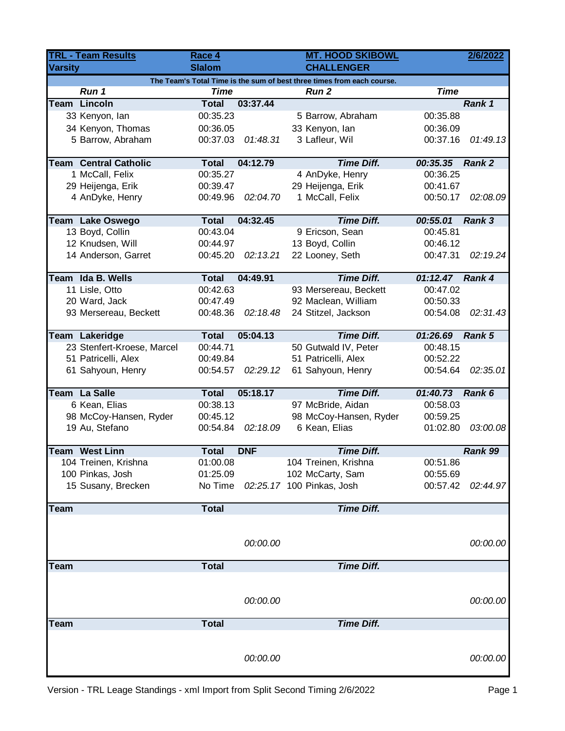| <b>TRL - Team Results</b> |                              | Race 4        |            | <b>MT. HOOD SKIBOWL</b>                                                                |             | 2/6/2022 |
|---------------------------|------------------------------|---------------|------------|----------------------------------------------------------------------------------------|-------------|----------|
| <b>Varsity</b>            |                              | <b>Slalom</b> |            | <b>CHALLENGER</b>                                                                      |             |          |
|                           | Run 1                        | <b>Time</b>   |            | The Team's Total Time is the sum of best three times from each course.<br><b>Run 2</b> | <b>Time</b> |          |
| Team                      | Lincoln                      | <b>Total</b>  | 03:37.44   |                                                                                        |             | Rank 1   |
|                           | 33 Kenyon, lan               | 00:35.23      |            | 5 Barrow, Abraham                                                                      | 00:35.88    |          |
|                           | 34 Kenyon, Thomas            | 00:36.05      |            | 33 Kenyon, lan                                                                         | 00:36.09    |          |
|                           | 5 Barrow, Abraham            | 00:37.03      | 01:48.31   | 3 Lafleur, Wil                                                                         | 00:37.16    | 01:49.13 |
|                           |                              |               |            |                                                                                        |             |          |
|                           | <b>Team Central Catholic</b> | <b>Total</b>  | 04:12.79   | <b>Time Diff.</b>                                                                      | 00:35.35    | Rank 2   |
|                           | 1 McCall, Felix              | 00:35.27      |            | 4 AnDyke, Henry                                                                        | 00:36.25    |          |
|                           | 29 Heijenga, Erik            | 00:39.47      |            | 29 Heijenga, Erik                                                                      | 00:41.67    |          |
|                           | 4 AnDyke, Henry              | 00:49.96      | 02:04.70   | 1 McCall, Felix                                                                        | 00:50.17    | 02:08.09 |
|                           | Team Lake Oswego             | <b>Total</b>  | 04:32.45   | <b>Time Diff.</b>                                                                      | 00:55.01    | Rank 3   |
|                           | 13 Boyd, Collin              | 00:43.04      |            | 9 Ericson, Sean                                                                        | 00:45.81    |          |
|                           | 12 Knudsen, Will             | 00:44.97      |            | 13 Boyd, Collin                                                                        | 00:46.12    |          |
|                           | 14 Anderson, Garret          | 00:45.20      | 02:13.21   | 22 Looney, Seth                                                                        | 00:47.31    | 02:19.24 |
|                           |                              |               |            |                                                                                        |             |          |
|                           | Team Ida B. Wells            | <b>Total</b>  | 04:49.91   | <b>Time Diff.</b>                                                                      | 01:12.47    | Rank 4   |
|                           | 11 Lisle, Otto               | 00:42.63      |            | 93 Mersereau, Beckett                                                                  | 00:47.02    |          |
|                           | 20 Ward, Jack                | 00:47.49      |            | 92 Maclean, William                                                                    | 00:50.33    |          |
|                           | 93 Mersereau, Beckett        | 00:48.36      | 02:18.48   | 24 Stitzel, Jackson                                                                    | 00:54.08    | 02:31.43 |
|                           |                              |               |            |                                                                                        |             |          |
|                           | Team Lakeridge               | <b>Total</b>  | 05:04.13   | <b>Time Diff.</b>                                                                      | 01:26.69    | Rank 5   |
|                           | 23 Stenfert-Kroese, Marcel   | 00:44.71      |            | 50 Gutwald IV, Peter                                                                   | 00:48.15    |          |
|                           | 51 Patricelli, Alex          | 00:49.84      |            | 51 Patricelli, Alex                                                                    | 00:52.22    |          |
|                           | 61 Sahyoun, Henry            | 00:54.57      | 02:29.12   | 61 Sahyoun, Henry                                                                      | 00:54.64    | 02:35.01 |
|                           | <b>Team La Salle</b>         | <b>Total</b>  | 05:18.17   | <b>Time Diff.</b>                                                                      | 01:40.73    | Rank 6   |
|                           | 6 Kean, Elias                | 00:38.13      |            | 97 McBride, Aidan                                                                      | 00:58.03    |          |
|                           | 98 McCoy-Hansen, Ryder       | 00:45.12      |            | 98 McCoy-Hansen, Ryder                                                                 | 00:59.25    |          |
|                           | 19 Au, Stefano               | 00:54.84      | 02:18.09   | 6 Kean, Elias                                                                          | 01:02.80    | 03:00.08 |
|                           |                              |               |            |                                                                                        |             |          |
|                           | <b>Team West Linn</b>        | <b>Total</b>  | <b>DNF</b> | <b>Time Diff.</b>                                                                      |             | Rank 99  |
|                           | 104 Treinen, Krishna         | 01:00.08      |            | 104 Treinen, Krishna                                                                   | 00:51.86    |          |
|                           | 100 Pinkas, Josh             | 01:25.09      |            | 102 McCarty, Sam                                                                       | 00:55.69    |          |
|                           | 15 Susany, Brecken           | No Time       |            | 02:25.17 100 Pinkas, Josh                                                              | 00:57.42    | 02:44.97 |
| Team                      |                              | <b>Total</b>  |            | <b>Time Diff.</b>                                                                      |             |          |
|                           |                              |               |            |                                                                                        |             |          |
|                           |                              |               |            |                                                                                        |             |          |
|                           |                              |               | 00:00.00   |                                                                                        |             | 00:00.00 |
| Team                      |                              | <b>Total</b>  |            | <b>Time Diff.</b>                                                                      |             |          |
|                           |                              |               |            |                                                                                        |             |          |
|                           |                              |               |            |                                                                                        |             |          |
|                           |                              |               |            |                                                                                        |             |          |
|                           |                              |               | 00:00.00   |                                                                                        |             | 00:00.00 |
|                           |                              |               |            |                                                                                        |             |          |
| <b>Team</b>               |                              | <b>Total</b>  |            | <b>Time Diff.</b>                                                                      |             |          |
|                           |                              |               |            |                                                                                        |             |          |
|                           |                              |               | 00:00.00   |                                                                                        |             | 00:00.00 |